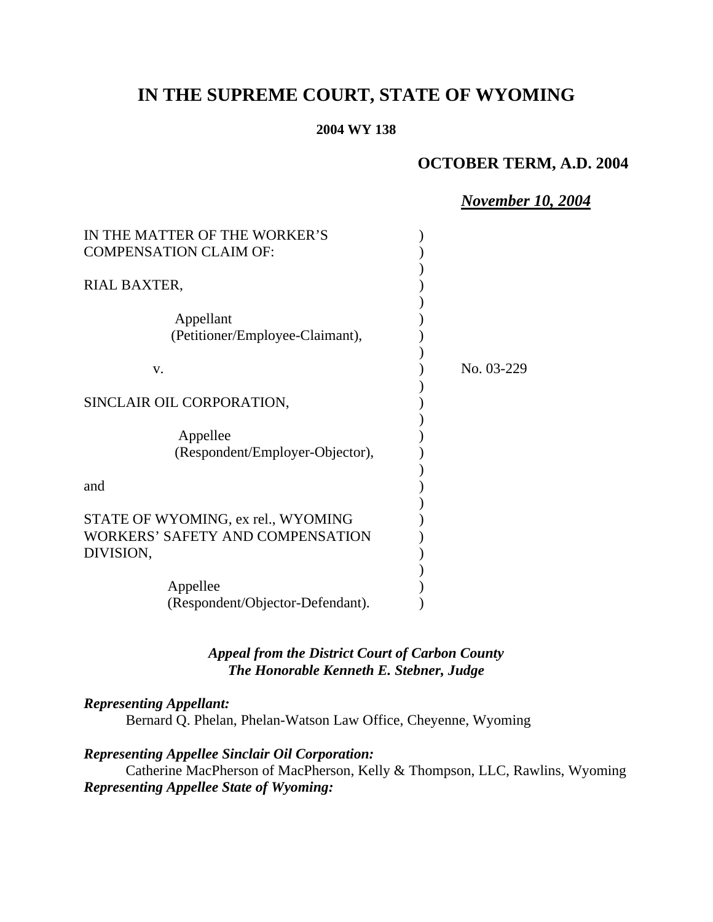# **IN THE SUPREME COURT, STATE OF WYOMING**

#### **2004 WY 138**

## **OCTOBER TERM, A.D. 2004**

#### *November 10, 2004*

| IN THE MATTER OF THE WORKER'S                                                       |            |
|-------------------------------------------------------------------------------------|------------|
| <b>COMPENSATION CLAIM OF:</b>                                                       |            |
| RIAL BAXTER,                                                                        |            |
| Appellant<br>(Petitioner/Employee-Claimant),                                        |            |
| v.                                                                                  | No. 03-229 |
| SINCLAIR OIL CORPORATION,                                                           |            |
| Appellee<br>(Respondent/Employer-Objector),                                         |            |
| and                                                                                 |            |
| STATE OF WYOMING, ex rel., WYOMING<br>WORKERS' SAFETY AND COMPENSATION<br>DIVISION, |            |
| Appellee<br>(Respondent/Objector-Defendant).                                        |            |

### *Appeal from the District Court of Carbon County The Honorable Kenneth E. Stebner, Judge*

#### *Representing Appellant:*

Bernard Q. Phelan, Phelan-Watson Law Office, Cheyenne, Wyoming

#### *Representing Appellee Sinclair Oil Corporation:*

Catherine MacPherson of MacPherson, Kelly & Thompson, LLC, Rawlins, Wyoming *Representing Appellee State of Wyoming:*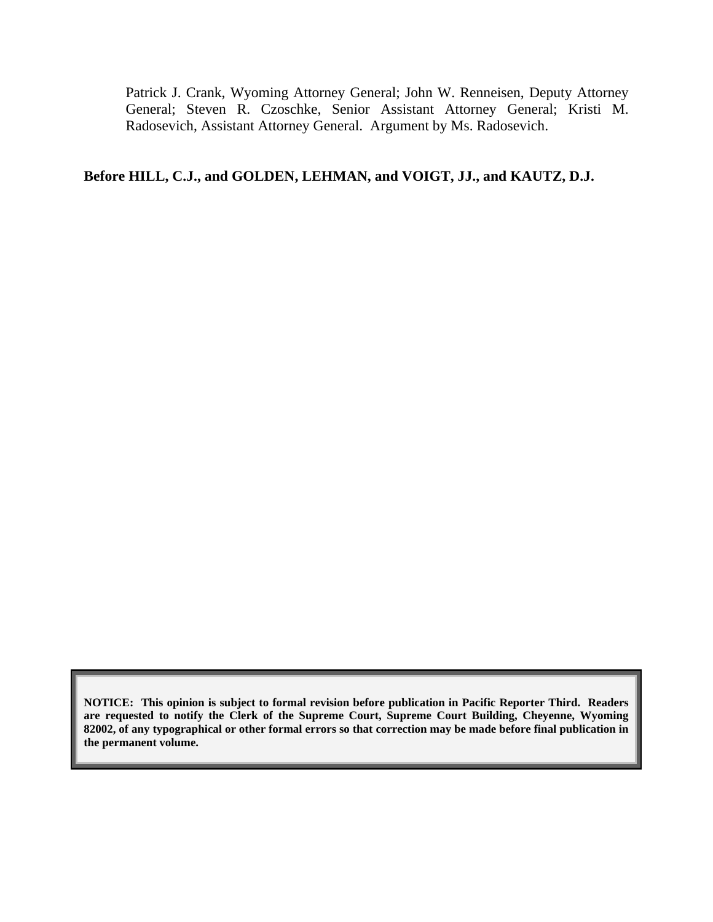Patrick J. Crank, Wyoming Attorney General; John W. Renneisen, Deputy Attorney General; Steven R. Czoschke, Senior Assistant Attorney General; Kristi M. Radosevich, Assistant Attorney General. Argument by Ms. Radosevich.

## **Before HILL, C.J., and GOLDEN, LEHMAN, and VOIGT, JJ., and KAUTZ, D.J.**

**NOTICE: This opinion is subject to formal revision before publication in Pacific Reporter Third. Readers are requested to notify the Clerk of the Supreme Court, Supreme Court Building, Cheyenne, Wyoming 82002, of any typographical or other formal errors so that correction may be made before final publication in the permanent volume.**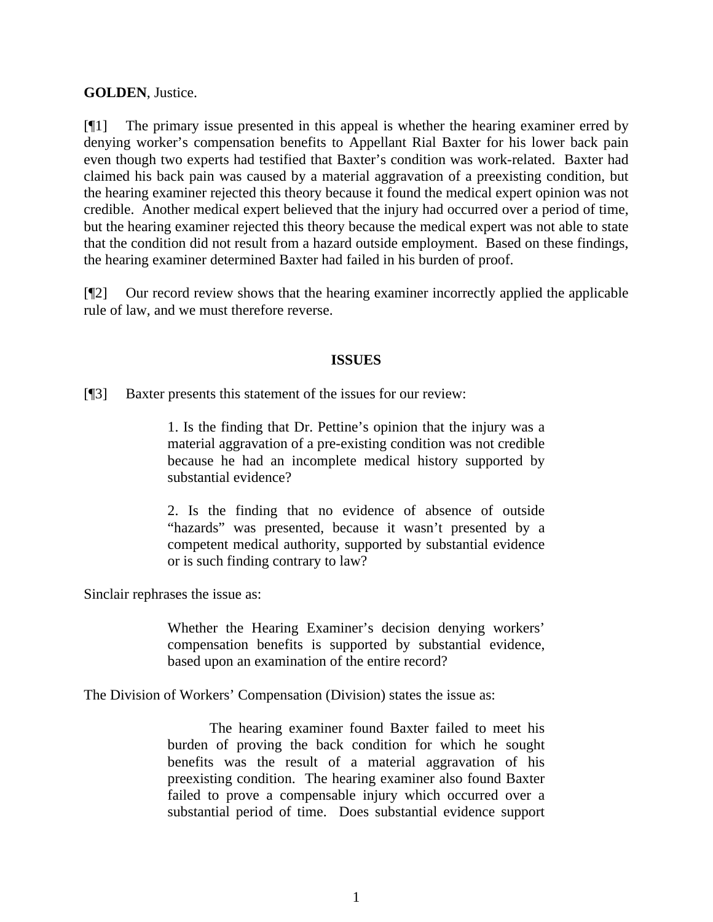#### **GOLDEN**, Justice.

[¶1] The primary issue presented in this appeal is whether the hearing examiner erred by denying worker's compensation benefits to Appellant Rial Baxter for his lower back pain even though two experts had testified that Baxter's condition was work-related. Baxter had claimed his back pain was caused by a material aggravation of a preexisting condition, but the hearing examiner rejected this theory because it found the medical expert opinion was not credible. Another medical expert believed that the injury had occurred over a period of time, but the hearing examiner rejected this theory because the medical expert was not able to state that the condition did not result from a hazard outside employment. Based on these findings, the hearing examiner determined Baxter had failed in his burden of proof.

[¶2] Our record review shows that the hearing examiner incorrectly applied the applicable rule of law, and we must therefore reverse.

#### **ISSUES**

[¶3] Baxter presents this statement of the issues for our review:

1. Is the finding that Dr. Pettine's opinion that the injury was a material aggravation of a pre-existing condition was not credible because he had an incomplete medical history supported by substantial evidence?

2. Is the finding that no evidence of absence of outside "hazards" was presented, because it wasn't presented by a competent medical authority, supported by substantial evidence or is such finding contrary to law?

Sinclair rephrases the issue as:

Whether the Hearing Examiner's decision denying workers' compensation benefits is supported by substantial evidence, based upon an examination of the entire record?

The Division of Workers' Compensation (Division) states the issue as:

The hearing examiner found Baxter failed to meet his burden of proving the back condition for which he sought benefits was the result of a material aggravation of his preexisting condition. The hearing examiner also found Baxter failed to prove a compensable injury which occurred over a substantial period of time. Does substantial evidence support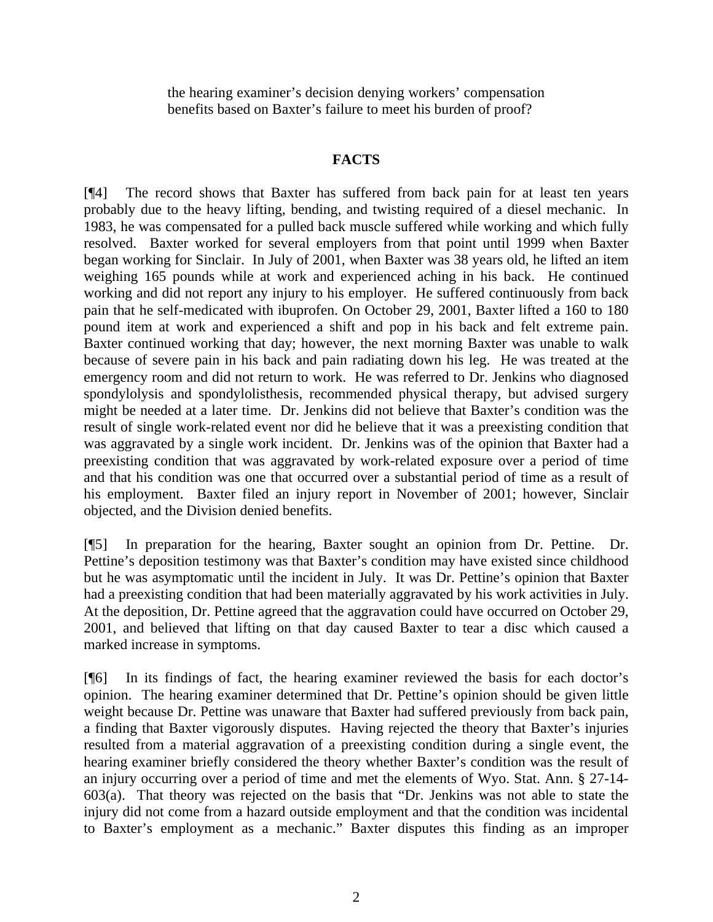the hearing examiner's decision denying workers' compensation benefits based on Baxter's failure to meet his burden of proof?

### **FACTS**

[¶4] The record shows that Baxter has suffered from back pain for at least ten years probably due to the heavy lifting, bending, and twisting required of a diesel mechanic. In 1983, he was compensated for a pulled back muscle suffered while working and which fully resolved. Baxter worked for several employers from that point until 1999 when Baxter began working for Sinclair. In July of 2001, when Baxter was 38 years old, he lifted an item weighing 165 pounds while at work and experienced aching in his back. He continued working and did not report any injury to his employer. He suffered continuously from back pain that he self-medicated with ibuprofen. On October 29, 2001, Baxter lifted a 160 to 180 pound item at work and experienced a shift and pop in his back and felt extreme pain. Baxter continued working that day; however, the next morning Baxter was unable to walk because of severe pain in his back and pain radiating down his leg. He was treated at the emergency room and did not return to work. He was referred to Dr. Jenkins who diagnosed spondylolysis and spondylolisthesis, recommended physical therapy, but advised surgery might be needed at a later time. Dr. Jenkins did not believe that Baxter's condition was the result of single work-related event nor did he believe that it was a preexisting condition that was aggravated by a single work incident. Dr. Jenkins was of the opinion that Baxter had a preexisting condition that was aggravated by work-related exposure over a period of time and that his condition was one that occurred over a substantial period of time as a result of his employment. Baxter filed an injury report in November of 2001; however, Sinclair objected, and the Division denied benefits.

[¶5] In preparation for the hearing, Baxter sought an opinion from Dr. Pettine. Dr. Pettine's deposition testimony was that Baxter's condition may have existed since childhood but he was asymptomatic until the incident in July. It was Dr. Pettine's opinion that Baxter had a preexisting condition that had been materially aggravated by his work activities in July. At the deposition, Dr. Pettine agreed that the aggravation could have occurred on October 29, 2001, and believed that lifting on that day caused Baxter to tear a disc which caused a marked increase in symptoms.

[¶6] In its findings of fact, the hearing examiner reviewed the basis for each doctor's opinion. The hearing examiner determined that Dr. Pettine's opinion should be given little weight because Dr. Pettine was unaware that Baxter had suffered previously from back pain, a finding that Baxter vigorously disputes. Having rejected the theory that Baxter's injuries resulted from a material aggravation of a preexisting condition during a single event, the hearing examiner briefly considered the theory whether Baxter's condition was the result of an injury occurring over a period of time and met the elements of Wyo. Stat. Ann. § 27-14- 603(a). That theory was rejected on the basis that "Dr. Jenkins was not able to state the injury did not come from a hazard outside employment and that the condition was incidental to Baxter's employment as a mechanic." Baxter disputes this finding as an improper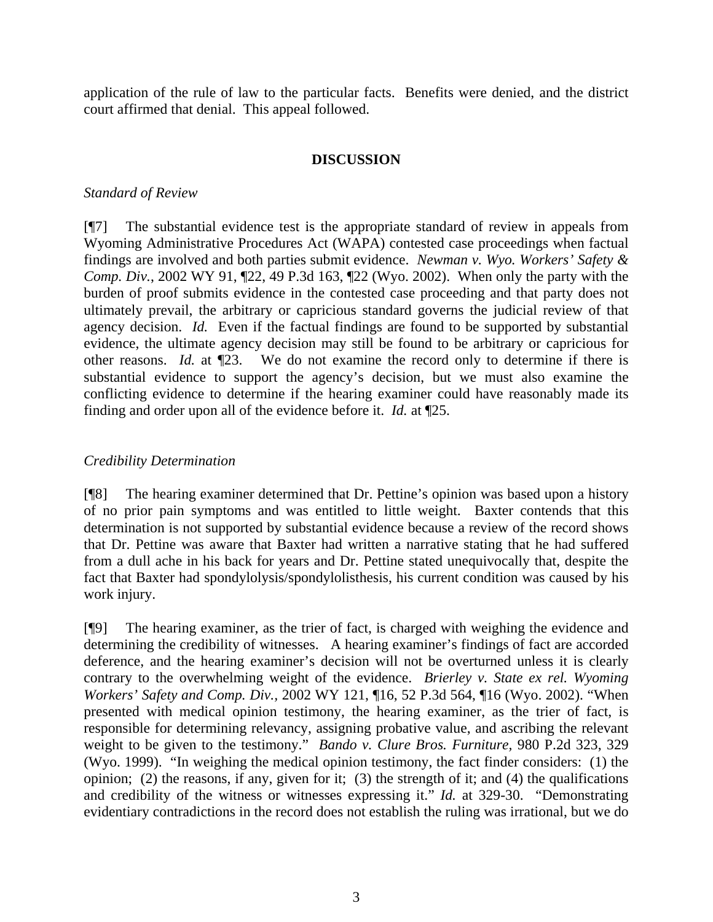application of the rule of law to the particular facts. Benefits were denied, and the district court affirmed that denial. This appeal followed.

#### **DISCUSSION**

#### *Standard of Review*

[¶7] The substantial evidence test is the appropriate standard of review in appeals from Wyoming Administrative Procedures Act (WAPA) contested case proceedings when factual findings are involved and both parties submit evidence. *Newman v. Wyo. Workers' Safety & Comp. Div.*, 2002 WY 91, ¶22, 49 P.3d 163, ¶22 (Wyo. 2002). When only the party with the burden of proof submits evidence in the contested case proceeding and that party does not ultimately prevail, the arbitrary or capricious standard governs the judicial review of that agency decision. *Id.* Even if the factual findings are found to be supported by substantial evidence, the ultimate agency decision may still be found to be arbitrary or capricious for other reasons. *Id.* at ¶23. We do not examine the record only to determine if there is substantial evidence to support the agency's decision, but we must also examine the conflicting evidence to determine if the hearing examiner could have reasonably made its finding and order upon all of the evidence before it. *Id.* at ¶25.

#### *Credibility Determination*

[¶8] The hearing examiner determined that Dr. Pettine's opinion was based upon a history of no prior pain symptoms and was entitled to little weight. Baxter contends that this determination is not supported by substantial evidence because a review of the record shows that Dr. Pettine was aware that Baxter had written a narrative stating that he had suffered from a dull ache in his back for years and Dr. Pettine stated unequivocally that, despite the fact that Baxter had spondylolysis/spondylolisthesis, his current condition was caused by his work injury.

[¶9] The hearing examiner, as the trier of fact, is charged with weighing the evidence and determining the credibility of witnesses. A hearing examiner's findings of fact are accorded deference, and the hearing examiner's decision will not be overturned unless it is clearly contrary to the overwhelming weight of the evidence. *Brierley v. State ex rel. Wyoming Workers' Safety and Comp. Div.,* 2002 WY 121, ¶16, 52 P.3d 564, ¶16 (Wyo. 2002). "When presented with medical opinion testimony, the hearing examiner, as the trier of fact, is responsible for determining relevancy, assigning probative value, and ascribing the relevant weight to be given to the testimony." *Bando v. Clure Bros. Furniture,* 980 P.2d 323, 329 (Wyo. 1999). "In weighing the medical opinion testimony, the fact finder considers: (1) the opinion; (2) the reasons, if any, given for it; (3) the strength of it; and (4) the qualifications and credibility of the witness or witnesses expressing it." *Id.* at 329-30. "Demonstrating evidentiary contradictions in the record does not establish the ruling was irrational, but we do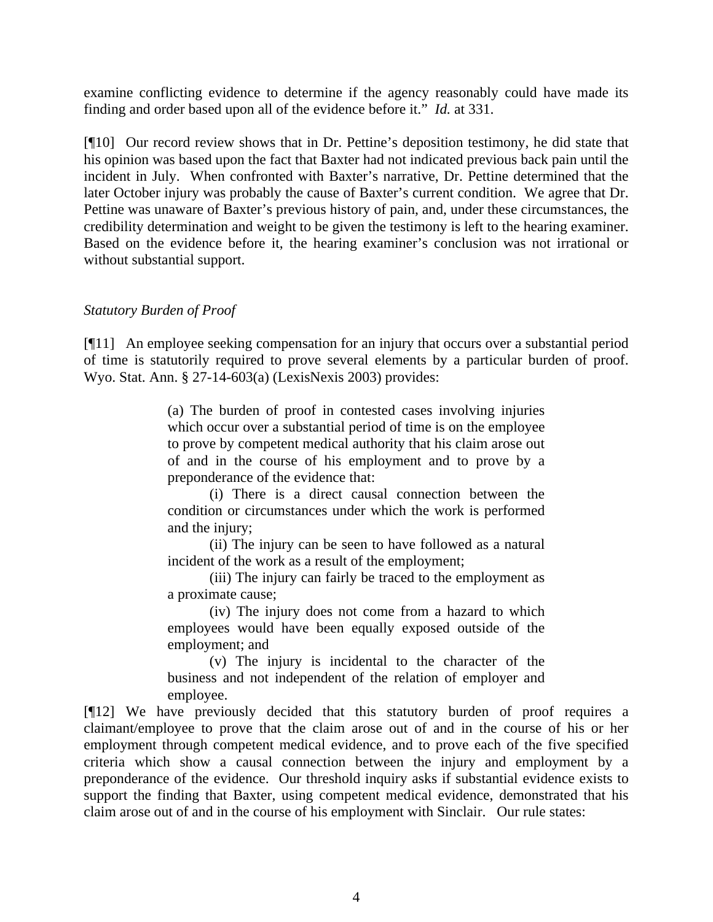examine conflicting evidence to determine if the agency reasonably could have made its finding and order based upon all of the evidence before it." *Id.* at 331.

[¶10] Our record review shows that in Dr. Pettine's deposition testimony, he did state that his opinion was based upon the fact that Baxter had not indicated previous back pain until the incident in July. When confronted with Baxter's narrative, Dr. Pettine determined that the later October injury was probably the cause of Baxter's current condition. We agree that Dr. Pettine was unaware of Baxter's previous history of pain, and, under these circumstances, the credibility determination and weight to be given the testimony is left to the hearing examiner. Based on the evidence before it, the hearing examiner's conclusion was not irrational or without substantial support.

## *Statutory Burden of Proof*

[¶11] An employee seeking compensation for an injury that occurs over a substantial period of time is statutorily required to prove several elements by a particular burden of proof. Wyo. Stat. Ann. § 27-14-603(a) (LexisNexis 2003) provides:

> (a) The burden of proof in contested cases involving injuries which occur over a substantial period of time is on the employee to prove by competent medical authority that his claim arose out of and in the course of his employment and to prove by a preponderance of the evidence that:

> (i) There is a direct causal connection between the condition or circumstances under which the work is performed and the injury;

> (ii) The injury can be seen to have followed as a natural incident of the work as a result of the employment;

> (iii) The injury can fairly be traced to the employment as a proximate cause;

> (iv) The injury does not come from a hazard to which employees would have been equally exposed outside of the employment; and

> (v) The injury is incidental to the character of the business and not independent of the relation of employer and employee.

[¶12] We have previously decided that this statutory burden of proof requires a claimant/employee to prove that the claim arose out of and in the course of his or her employment through competent medical evidence, and to prove each of the five specified criteria which show a causal connection between the injury and employment by a preponderance of the evidence. Our threshold inquiry asks if substantial evidence exists to support the finding that Baxter, using competent medical evidence, demonstrated that his claim arose out of and in the course of his employment with Sinclair. Our rule states: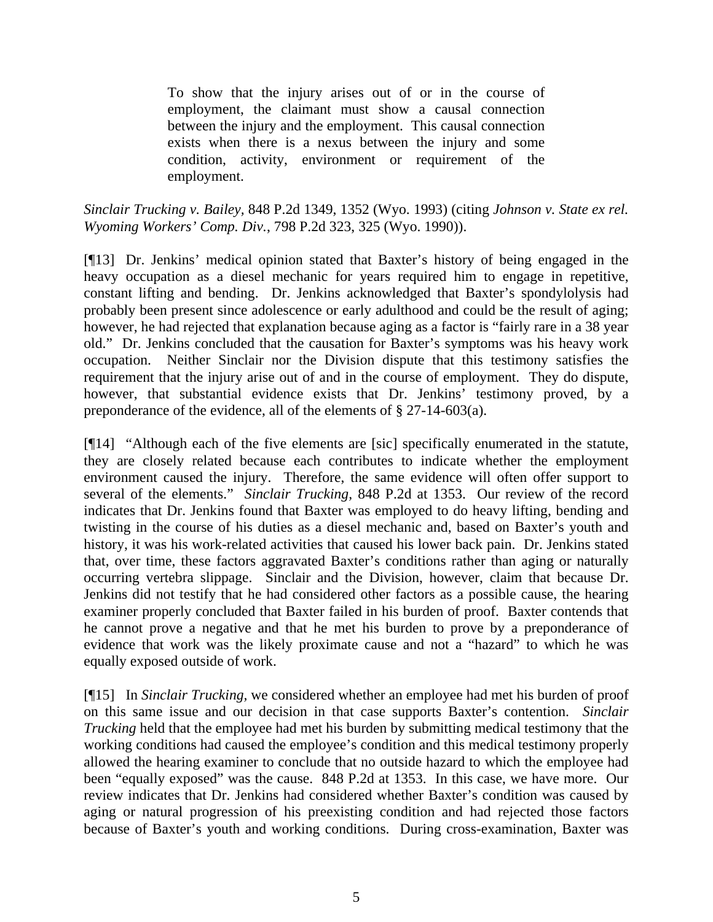To show that the injury arises out of or in the course of employment, the claimant must show a causal connection between the injury and the employment. This causal connection exists when there is a nexus between the injury and some condition, activity, environment or requirement of the employment.

*Sinclair Trucking v. Bailey,* 848 P.2d 1349, 1352 (Wyo. 1993) (citing *Johnson v. State ex rel. Wyoming Workers' Comp. Div.*, 798 P.2d 323, 325 (Wyo. 1990)).

[¶13] Dr. Jenkins' medical opinion stated that Baxter's history of being engaged in the heavy occupation as a diesel mechanic for years required him to engage in repetitive, constant lifting and bending. Dr. Jenkins acknowledged that Baxter's spondylolysis had probably been present since adolescence or early adulthood and could be the result of aging; however, he had rejected that explanation because aging as a factor is "fairly rare in a 38 year old." Dr. Jenkins concluded that the causation for Baxter's symptoms was his heavy work occupation. Neither Sinclair nor the Division dispute that this testimony satisfies the requirement that the injury arise out of and in the course of employment. They do dispute, however, that substantial evidence exists that Dr. Jenkins' testimony proved, by a preponderance of the evidence, all of the elements of § 27-14-603(a).

[¶14] "Although each of the five elements are [sic] specifically enumerated in the statute, they are closely related because each contributes to indicate whether the employment environment caused the injury. Therefore, the same evidence will often offer support to several of the elements." *Sinclair Trucking,* 848 P.2d at 1353. Our review of the record indicates that Dr. Jenkins found that Baxter was employed to do heavy lifting, bending and twisting in the course of his duties as a diesel mechanic and, based on Baxter's youth and history, it was his work-related activities that caused his lower back pain. Dr. Jenkins stated that, over time, these factors aggravated Baxter's conditions rather than aging or naturally occurring vertebra slippage. Sinclair and the Division, however, claim that because Dr. Jenkins did not testify that he had considered other factors as a possible cause, the hearing examiner properly concluded that Baxter failed in his burden of proof. Baxter contends that he cannot prove a negative and that he met his burden to prove by a preponderance of evidence that work was the likely proximate cause and not a "hazard" to which he was equally exposed outside of work.

[¶15] In *Sinclair Trucking,* we considered whether an employee had met his burden of proof on this same issue and our decision in that case supports Baxter's contention. *Sinclair Trucking* held that the employee had met his burden by submitting medical testimony that the working conditions had caused the employee's condition and this medical testimony properly allowed the hearing examiner to conclude that no outside hazard to which the employee had been "equally exposed" was the cause.848 P.2d at 1353. In this case, we have more. Our review indicates that Dr. Jenkins had considered whether Baxter's condition was caused by aging or natural progression of his preexisting condition and had rejected those factors because of Baxter's youth and working conditions. During cross-examination, Baxter was